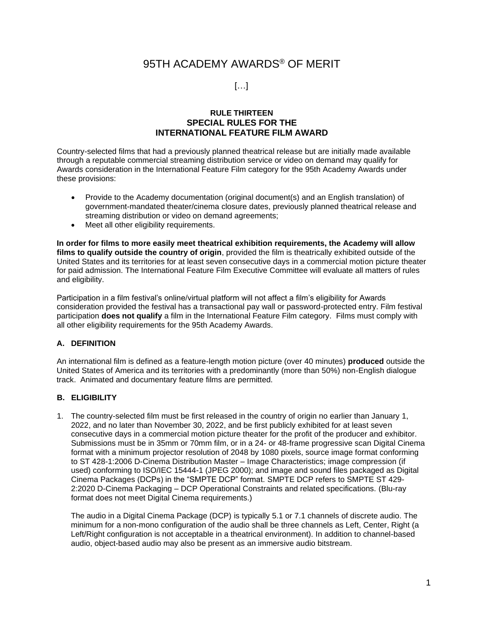# 95TH ACADEMY AWARDS® OF MERIT

## […]

#### **RULE THIRTEEN SPECIAL RULES FOR THE INTERNATIONAL FEATURE FILM AWARD**

Country-selected films that had a previously planned theatrical release but are initially made available through a reputable commercial streaming distribution service or video on demand may qualify for Awards consideration in the International Feature Film category for the 95th Academy Awards under these provisions:

- Provide to the Academy documentation (original document(s) and an English translation) of government-mandated theater/cinema closure dates, previously planned theatrical release and streaming distribution or video on demand agreements;
- Meet all other eligibility requirements.

**In order for films to more easily meet theatrical exhibition requirements, the Academy will allow films to qualify outside the country of origin**, provided the film is theatrically exhibited outside of the United States and its territories for at least seven consecutive days in a commercial motion picture theater for paid admission. The International Feature Film Executive Committee will evaluate all matters of rules and eligibility.

Participation in a film festival's online/virtual platform will not affect a film's eligibility for Awards consideration provided the festival has a transactional pay wall or password-protected entry. Film festival participation **does not qualify** a film in the International Feature Film category. Films must comply with all other eligibility requirements for the 95th Academy Awards.

#### **A. DEFINITION**

An international film is defined as a feature-length motion picture (over 40 minutes) **produced** outside the United States of America and its territories with a predominantly (more than 50%) non-English dialogue track. Animated and documentary feature films are permitted.

#### **B. ELIGIBILITY**

1. The country-selected film must be first released in the country of origin no earlier than January 1, 2022, and no later than November 30, 2022, and be first publicly exhibited for at least seven consecutive days in a commercial motion picture theater for the profit of the producer and exhibitor. Submissions must be in 35mm or 70mm film, or in a 24- or 48-frame progressive scan Digital Cinema format with a minimum projector resolution of 2048 by 1080 pixels, source image format conforming to ST 428-1:2006 D-Cinema Distribution Master – Image Characteristics; image compression (if used) conforming to ISO/IEC 15444-1 (JPEG 2000); and image and sound files packaged as Digital Cinema Packages (DCPs) in the "SMPTE DCP" format. SMPTE DCP refers to SMPTE ST 429- 2:2020 D-Cinema Packaging – DCP Operational Constraints and related specifications. (Blu-ray format does not meet Digital Cinema requirements.)

The audio in a Digital Cinema Package (DCP) is typically 5.1 or 7.1 channels of discrete audio. The minimum for a non-mono configuration of the audio shall be three channels as Left, Center, Right (a Left/Right configuration is not acceptable in a theatrical environment). In addition to channel-based audio, object-based audio may also be present as an immersive audio bitstream.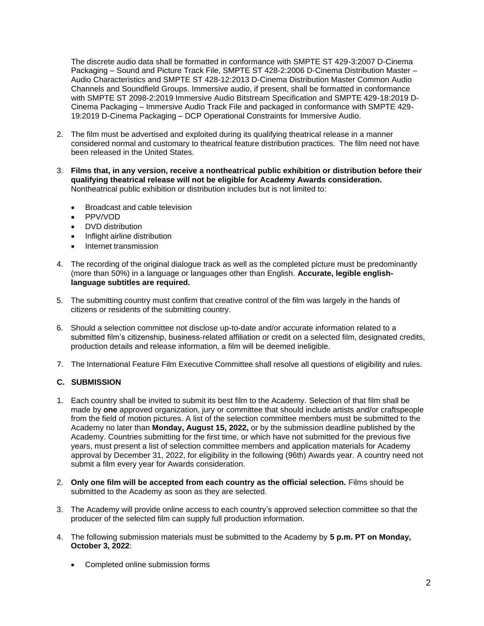The discrete audio data shall be formatted in conformance with SMPTE ST 429-3:2007 D-Cinema Packaging – Sound and Picture Track File, SMPTE ST 428-2:2006 D-Cinema Distribution Master – Audio Characteristics and SMPTE ST 428-12:2013 D-Cinema Distribution Master Common Audio Channels and Soundfield Groups. Immersive audio, if present, shall be formatted in conformance with SMPTE ST 2098-2:2019 Immersive Audio Bitstream Specification and SMPTE 429-18:2019 D-Cinema Packaging – Immersive Audio Track File and packaged in conformance with SMPTE 429- 19:2019 D-Cinema Packaging – DCP Operational Constraints for Immersive Audio.

- 2. The film must be advertised and exploited during its qualifying theatrical release in a manner considered normal and customary to theatrical feature distribution practices. The film need not have been released in the United States.
- 3. **Films that, in any version, receive a nontheatrical public exhibition or distribution before their qualifying theatrical release will not be eligible for Academy Awards consideration.** Nontheatrical public exhibition or distribution includes but is not limited to:
	- Broadcast and cable television
	- PPV/VOD
	- DVD distribution
	- Inflight airline distribution
	- Internet transmission
- 4. The recording of the original dialogue track as well as the completed picture must be predominantly (more than 50%) in a language or languages other than English. **Accurate, legible englishlanguage subtitles are required.**
- 5. The submitting country must confirm that creative control of the film was largely in the hands of citizens or residents of the submitting country.
- 6. Should a selection committee not disclose up-to-date and/or accurate information related to a submitted film's citizenship, business-related affiliation or credit on a selected film, designated credits, production details and release information, a film will be deemed ineligible.
- 7. The International Feature Film Executive Committee shall resolve all questions of eligibility and rules.

#### **C. SUBMISSION**

- 1. Each country shall be invited to submit its best film to the Academy. Selection of that film shall be made by **one** approved organization, jury or committee that should include artists and/or craftspeople from the field of motion pictures. A list of the selection committee members must be submitted to the Academy no later than **Monday, August 15, 2022,** or by the submission deadline published by the Academy. Countries submitting for the first time, or which have not submitted for the previous five years, must present a list of selection committee members and application materials for Academy approval by December 31, 2022, for eligibility in the following (96th) Awards year. A country need not submit a film every year for Awards consideration.
- 2. **Only one film will be accepted from each country as the official selection.** Films should be submitted to the Academy as soon as they are selected.
- 3. The Academy will provide online access to each country's approved selection committee so that the producer of the selected film can supply full production information.
- 4. The following submission materials must be submitted to the Academy by **5 p.m. PT on Monday, October 3, 2022**:
	- Completed online submission forms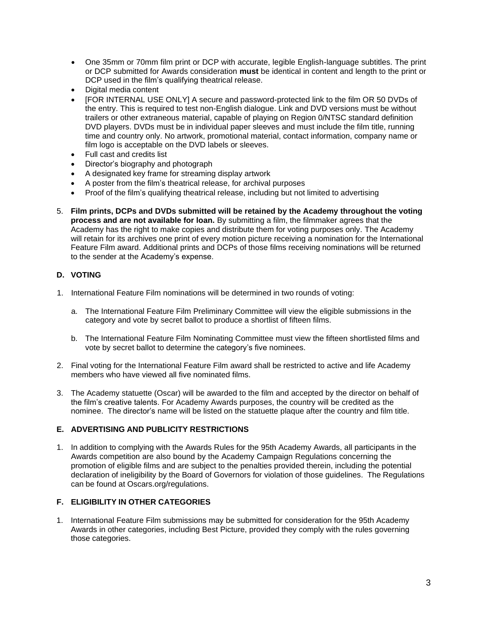- One 35mm or 70mm film print or DCP with accurate, legible English-language subtitles. The print or DCP submitted for Awards consideration **must** be identical in content and length to the print or DCP used in the film's qualifying theatrical release.
- Digital media content
- [FOR INTERNAL USE ONLY] A secure and password-protected link to the film OR 50 DVDs of the entry. This is required to test non-English dialogue. Link and DVD versions must be without trailers or other extraneous material, capable of playing on Region 0/NTSC standard definition DVD players. DVDs must be in individual paper sleeves and must include the film title, running time and country only. No artwork, promotional material, contact information, company name or film logo is acceptable on the DVD labels or sleeves.
- Full cast and credits list
- Director's biography and photograph
- A designated key frame for streaming display artwork
- A poster from the film's theatrical release, for archival purposes
- Proof of the film's qualifying theatrical release, including but not limited to advertising
- 5. **Film prints, DCPs and DVDs submitted will be retained by the Academy throughout the voting process and are not available for loan.** By submitting a film, the filmmaker agrees that the Academy has the right to make copies and distribute them for voting purposes only. The Academy will retain for its archives one print of every motion picture receiving a nomination for the International Feature Film award. Additional prints and DCPs of those films receiving nominations will be returned to the sender at the Academy's expense.

### **D. VOTING**

- 1. International Feature Film nominations will be determined in two rounds of voting:
	- a. The International Feature Film Preliminary Committee will view the eligible submissions in the category and vote by secret ballot to produce a shortlist of fifteen films.
	- b. The International Feature Film Nominating Committee must view the fifteen shortlisted films and vote by secret ballot to determine the category's five nominees.
- 2. Final voting for the International Feature Film award shall be restricted to active and life Academy members who have viewed all five nominated films.
- 3. The Academy statuette (Oscar) will be awarded to the film and accepted by the director on behalf of the film's creative talents. For Academy Awards purposes, the country will be credited as the nominee. The director's name will be listed on the statuette plaque after the country and film title.

#### **E. ADVERTISING AND PUBLICITY RESTRICTIONS**

1. In addition to complying with the Awards Rules for the 95th Academy Awards, all participants in the Awards competition are also bound by the Academy Campaign Regulations concerning the promotion of eligible films and are subject to the penalties provided therein, including the potential declaration of ineligibility by the Board of Governors for violation of those guidelines. The Regulations can be found at Oscars.org/regulations.

#### **F. ELIGIBILITY IN OTHER CATEGORIES**

1. International Feature Film submissions may be submitted for consideration for the 95th Academy Awards in other categories, including Best Picture, provided they comply with the rules governing those categories.